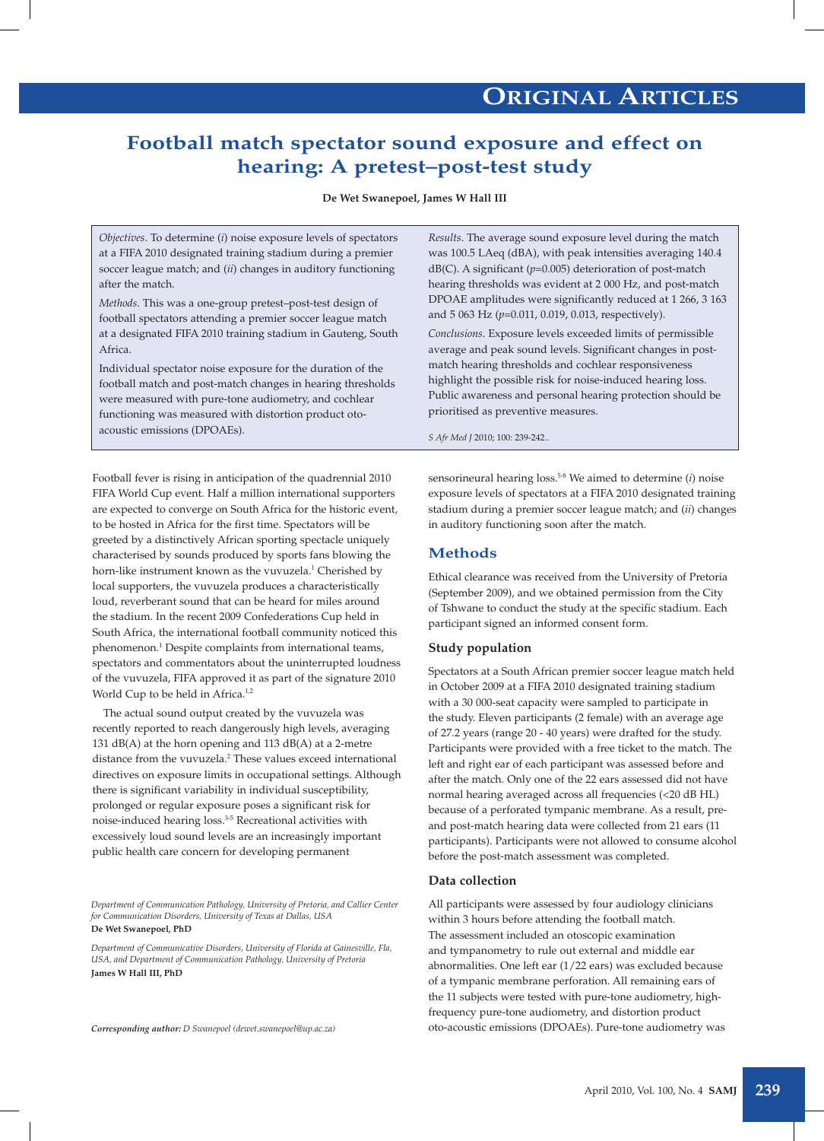## **Football match spectator sound exposure and effect on hearing: A pretest–post-test study**

**De Wet Swanepoel, James W Hall III**

*Objectives*. To determine (*i*) noise exposure levels of spectators at a FIFA 2010 designated training stadium during a premier soccer league match; and (*ii*) changes in auditory functioning after the match.

*Methods*. This was a one-group pretest–post-test design of football spectators attending a premier soccer league match at a designated FIFA 2010 training stadium in Gauteng, South Africa.

Individual spectator noise exposure for the duration of the football match and post-match changes in hearing thresholds were measured with pure-tone audiometry, and cochlear functioning was measured with distortion product otoacoustic emissions (DPOAEs).

Football fever is rising in anticipation of the quadrennial 2010 FIFA World Cup event. Half a million international supporters are expected to converge on South Africa for the historic event, to be hosted in Africa for the first time. Spectators will be greeted by a distinctively African sporting spectacle uniquely characterised by sounds produced by sports fans blowing the horn-like instrument known as the vuvuzela.<sup>1</sup> Cherished by local supporters, the vuvuzela produces a characteristically loud, reverberant sound that can be heard for miles around the stadium. In the recent 2009 Confederations Cup held in South Africa, the international football community noticed this phenomenon.<sup>1</sup> Despite complaints from international teams, spectators and commentators about the uninterrupted loudness of the vuvuzela, FIFA approved it as part of the signature 2010 World Cup to be held in Africa.<sup>1,2</sup>

The actual sound output created by the vuvuzela was recently reported to reach dangerously high levels, averaging 131 dB(A) at the horn opening and 113 dB(A) at a 2-metre distance from the vuvuzela.<sup>2</sup> These values exceed international directives on exposure limits in occupational settings. Although there is significant variability in individual susceptibility, prolonged or regular exposure poses a significant risk for noise-induced hearing loss.3-5 Recreational activities with excessively loud sound levels are an increasingly important public health care concern for developing permanent

*Department of Communication Pathology, University of Pretoria, and Callier Center for Communication Disorders, University of Texas at Dallas, USA* **De Wet Swanepoel, PhD**

*Department of Communicative Disorders, University of Florida at Gainesville, Fla, USA, and Department of Communication Pathology, University of Pretoria* **James W Hall III, PhD**

*Corresponding author: D Swanepoel (dewet.swanepoel@up.ac.za)*

*Results*. The average sound exposure level during the match was 100.5 LAeq (dBA), with peak intensities averaging 140.4 dB(C). A significant (*p*=0.005) deterioration of post-match hearing thresholds was evident at 2 000 Hz, and post-match DPOAE amplitudes were significantly reduced at 1 266, 3 163 and 5 063 Hz (*p*=0.011, 0.019, 0.013, respectively).

*Conclusions*. Exposure levels exceeded limits of permissible average and peak sound levels. Significant changes in postmatch hearing thresholds and cochlear responsiveness highlight the possible risk for noise-induced hearing loss. Public awareness and personal hearing protection should be prioritised as preventive measures.

*S Afr Med J* 2010; 100: 239-242..

sensorineural hearing loss.5-8 We aimed to determine (*i*) noise exposure levels of spectators at a FIFA 2010 designated training stadium during a premier soccer league match; and (*ii*) changes in auditory functioning soon after the match.

### **Methods**

Ethical clearance was received from the University of Pretoria (September 2009), and we obtained permission from the City of Tshwane to conduct the study at the specific stadium. Each participant signed an informed consent form.

### **Study population**

Spectators at a South African premier soccer league match held in October 2009 at a FIFA 2010 designated training stadium with a 30 000-seat capacity were sampled to participate in the study. Eleven participants (2 female) with an average age of 27.2 years (range 20 - 40 years) were drafted for the study. Participants were provided with a free ticket to the match. The left and right ear of each participant was assessed before and after the match. Only one of the 22 ears assessed did not have normal hearing averaged across all frequencies (<20 dB HL) because of a perforated tympanic membrane. As a result, preand post-match hearing data were collected from 21 ears (11 participants). Participants were not allowed to consume alcohol before the post-match assessment was completed.

### **Data collection**

All participants were assessed by four audiology clinicians within 3 hours before attending the football match. The assessment included an otoscopic examination and tympanometry to rule out external and middle ear abnormalities. One left ear (1/22 ears) was excluded because of a tympanic membrane perforation. All remaining ears of the 11 subjects were tested with pure-tone audiometry, highfrequency pure-tone audiometry, and distortion product oto-acoustic emissions (DPOAEs). Pure-tone audiometry was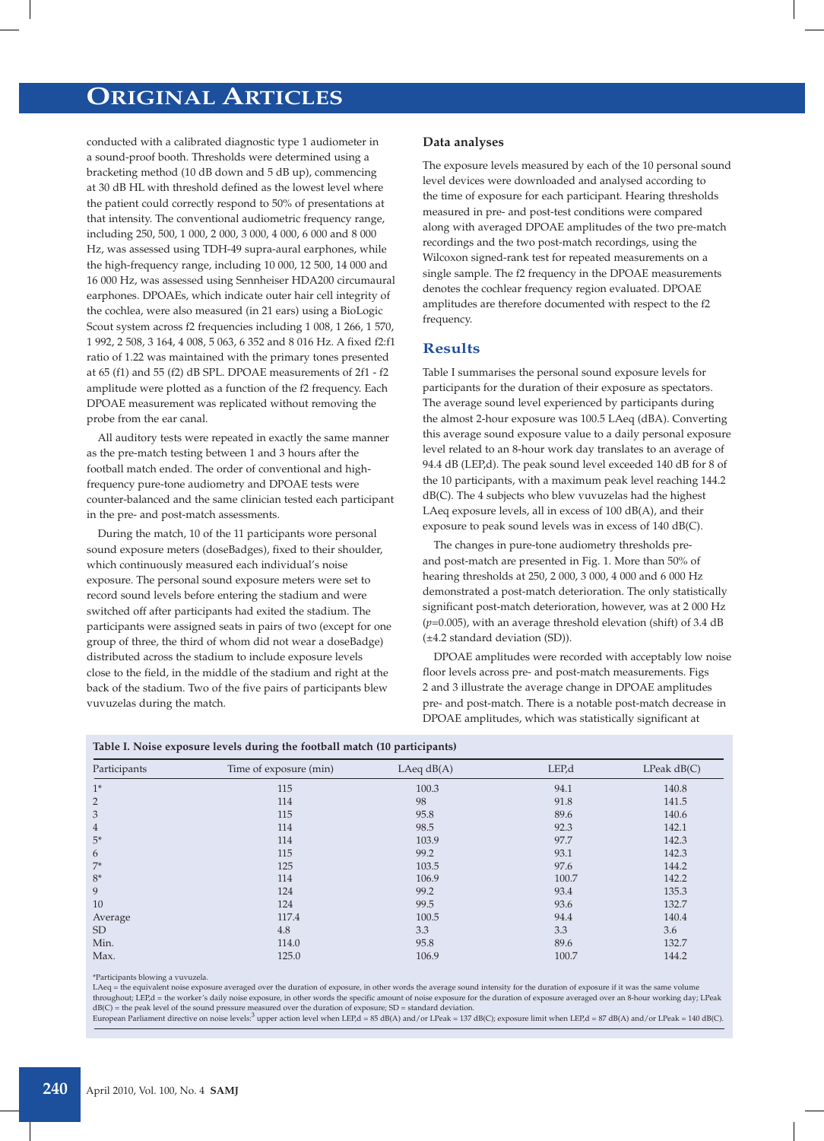# **ORIGINAL ARTICLES**

conducted with a calibrated diagnostic type 1 audiometer in a sound-proof booth. Thresholds were determined using a bracketing method (10 dB down and 5 dB up), commencing at 30 dB HL with threshold defined as the lowest level where the patient could correctly respond to 50% of presentations at that intensity. The conventional audiometric frequency range, including 250, 500, 1 000, 2 000, 3 000, 4 000, 6 000 and 8 000 Hz, was assessed using TDH-49 supra-aural earphones, while the high-frequency range, including 10 000, 12 500, 14 000 and 16 000 Hz, was assessed using Sennheiser HDA200 circumaural earphones. DPOAEs, which indicate outer hair cell integrity of the cochlea, were also measured (in 21 ears) using a BioLogic Scout system across f2 frequencies including 1 008, 1 266, 1 570, 1 992, 2 508, 3 164, 4 008, 5 063, 6 352 and 8 016 Hz. A fixed f2:f1 ratio of 1.22 was maintained with the primary tones presented at 65 (f1) and 55 (f2) dB SPL. DPOAE measurements of 2f1 - f2 amplitude were plotted as a function of the f2 frequency. Each DPOAE measurement was replicated without removing the probe from the ear canal.

All auditory tests were repeated in exactly the same manner as the pre-match testing between 1 and 3 hours after the football match ended. The order of conventional and highfrequency pure-tone audiometry and DPOAE tests were counter-balanced and the same clinician tested each participant in the pre- and post-match assessments.

During the match, 10 of the 11 participants wore personal sound exposure meters (doseBadges), fixed to their shoulder, which continuously measured each individual's noise exposure. The personal sound exposure meters were set to record sound levels before entering the stadium and were switched off after participants had exited the stadium. The participants were assigned seats in pairs of two (except for one group of three, the third of whom did not wear a doseBadge) distributed across the stadium to include exposure levels close to the field, in the middle of the stadium and right at the back of the stadium. Two of the five pairs of participants blew vuvuzelas during the match.

#### **Data analyses**

The exposure levels measured by each of the 10 personal sound level devices were downloaded and analysed according to the time of exposure for each participant. Hearing thresholds measured in pre- and post-test conditions were compared along with averaged DPOAE amplitudes of the two pre-match recordings and the two post-match recordings, using the Wilcoxon signed-rank test for repeated measurements on a single sample. The f2 frequency in the DPOAE measurements denotes the cochlear frequency region evaluated. DPOAE amplitudes are therefore documented with respect to the f2 frequency.

### **Results**

Table I summarises the personal sound exposure levels for participants for the duration of their exposure as spectators. The average sound level experienced by participants during the almost 2-hour exposure was 100.5 LAeq (dBA). Converting this average sound exposure value to a daily personal exposure level related to an 8-hour work day translates to an average of 94.4 dB (LEP,d). The peak sound level exceeded 140 dB for 8 of the 10 participants, with a maximum peak level reaching 144.2 dB(C). The 4 subjects who blew vuvuzelas had the highest LAeq exposure levels, all in excess of 100 dB(A), and their exposure to peak sound levels was in excess of 140 dB(C).

The changes in pure-tone audiometry thresholds preand post-match are presented in Fig. 1. More than 50% of hearing thresholds at 250, 2 000, 3 000, 4 000 and 6 000 Hz demonstrated a post-match deterioration. The only statistically significant post-match deterioration, however, was at 2 000 Hz (*p*=0.005), with an average threshold elevation (shift) of 3.4 dB (±4.2 standard deviation (SD)).

DPOAE amplitudes were recorded with acceptably low noise floor levels across pre- and post-match measurements. Figs 2 and 3 illustrate the average change in DPOAE amplitudes pre- and post-match. There is a notable post-match decrease in DPOAE amplitudes, which was statistically significant at

| л.              | $\mathbf{\mathcal{C}}$ | . .<br>$\mathbf{r}$ |       |             |
|-----------------|------------------------|---------------------|-------|-------------|
| Participants    | Time of exposure (min) | LAeq $dB(A)$        | LEP,d | LPeak dB(C) |
| $1*$            | 115                    | 100.3               | 94.1  | 140.8       |
| $\overline{2}$  | 114                    | 98                  | 91.8  | 141.5       |
| 3               | 115                    | 95.8                | 89.6  | 140.6       |
| $\overline{4}$  | 114                    | 98.5                | 92.3  | 142.1       |
| $5*$            | 114                    | 103.9               | 97.7  | 142.3       |
| 6               | 115                    | 99.2                | 93.1  | 142.3       |
| $7*$            | 125                    | 103.5               | 97.6  | 144.2       |
| $8*$            | 114                    | 106.9               | 100.7 | 142.2       |
| 9               | 124                    | 99.2                | 93.4  | 135.3       |
| 10              | 124                    | 99.5                | 93.6  | 132.7       |
| Average         | 117.4                  | 100.5               | 94.4  | 140.4       |
| SD <sub>1</sub> | 4.8                    | 3.3                 | 3.3   | 3.6         |
| Min.            | 114.0                  | 95.8                | 89.6  | 132.7       |
| Max.            | 125.0                  | 106.9               | 100.7 | 144.2       |

\*Participants blowing a vuvuzela.

LAeq = the equivalent noise exposure averaged over the duration of exposure, in other words the average sound intensity for the duration of exposure if it was the same volume throughout; LEP,d = the worker's daily noise exposure, in other words the specific amount of noise exposure for the duration of exposure averaged over an 8-hour working day; LPeak dB(C) = the peak level of the sound pressure measured over the duration of exposure; SD = standard deviation.<br>European Parliament directive on noise levels:<sup>3</sup> upper action level when LEP,d = 85 dB(A) and/or LPeak = 137 dB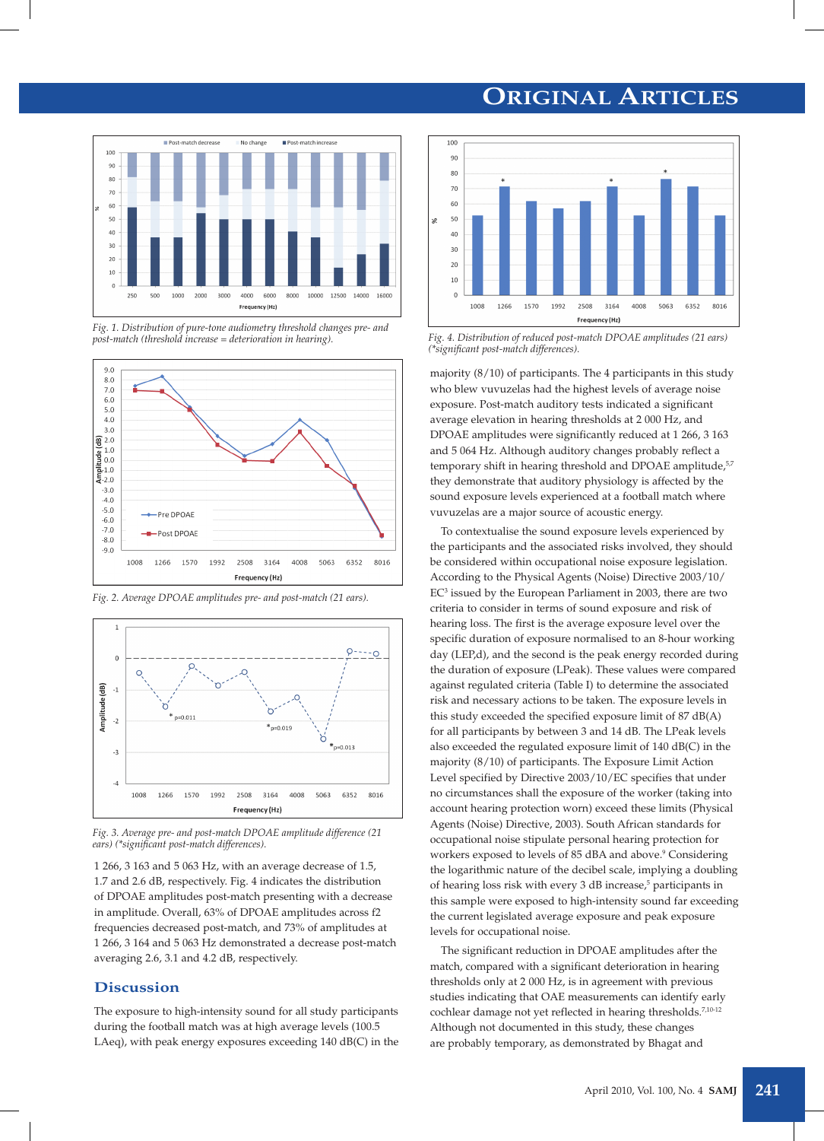# **ORIGINAL ARTICLES**



*Fig. 1. Distribution of pure-tone audiometry threshold changes pre- and post-match (threshold increase = deterioration in hearing).*



*Fig. 2. Average DPOAE amplitudes pre- and post-match (21 ears).*



*Fig. 3. Average pre- and post-match DPOAE amplitude difference (21 ears) (\*significant post-match differences).*

1 266, 3 163 and 5 063 Hz, with an average decrease of 1.5, 1.7 and 2.6 dB, respectively. Fig. 4 indicates the distribution of DPOAE amplitudes post-match presenting with a decrease in amplitude. Overall, 63% of DPOAE amplitudes across f2 frequencies decreased post-match, and 73% of amplitudes at 1 266, 3 164 and 5 063 Hz demonstrated a decrease post-match averaging 2.6, 3.1 and 4.2 dB, respectively.

### **Discussion**

The exposure to high-intensity sound for all study participants during the football match was at high average levels (100.5 LAeq), with peak energy exposures exceeding 140 dB(C) in the



*Fig. 4. Distribution of reduced post-match DPOAE amplitudes (21 ears) (\*significant post-match differences).*

majority  $(8/10)$  of participants. The 4 participants in this study who blew vuvuzelas had the highest levels of average noise exposure. Post-match auditory tests indicated a significant average elevation in hearing thresholds at 2 000 Hz, and DPOAE amplitudes were significantly reduced at 1 266, 3 163 and 5 064 Hz. Although auditory changes probably reflect a temporary shift in hearing threshold and DPOAE amplitude,<sup>5,7</sup> they demonstrate that auditory physiology is affected by the sound exposure levels experienced at a football match where vuvuzelas are a major source of acoustic energy.

To contextualise the sound exposure levels experienced by the participants and the associated risks involved, they should be considered within occupational noise exposure legislation. According to the Physical Agents (Noise) Directive 2003/10/ EC<sup>3</sup> issued by the European Parliament in 2003, there are two criteria to consider in terms of sound exposure and risk of hearing loss. The first is the average exposure level over the specific duration of exposure normalised to an 8-hour working day (LEP,d), and the second is the peak energy recorded during the duration of exposure (LPeak). These values were compared against regulated criteria (Table I) to determine the associated risk and necessary actions to be taken. The exposure levels in this study exceeded the specified exposure limit of 87 dB(A) for all participants by between 3 and 14 dB. The LPeak levels also exceeded the regulated exposure limit of 140 dB(C) in the majority (8/10) of participants. The Exposure Limit Action Level specified by Directive 2003/10/EC specifies that under no circumstances shall the exposure of the worker (taking into account hearing protection worn) exceed these limits (Physical Agents (Noise) Directive, 2003). South African standards for occupational noise stipulate personal hearing protection for workers exposed to levels of 85 dBA and above.<sup>9</sup> Considering the logarithmic nature of the decibel scale, implying a doubling of hearing loss risk with every 3 dB increase,<sup>5</sup> participants in this sample were exposed to high-intensity sound far exceeding the current legislated average exposure and peak exposure levels for occupational noise.

The significant reduction in DPOAE amplitudes after the match, compared with a significant deterioration in hearing thresholds only at 2 000 Hz, is in agreement with previous studies indicating that OAE measurements can identify early cochlear damage not yet reflected in hearing thresholds.<sup>7,10-12</sup> Although not documented in this study, these changes are probably temporary, as demonstrated by Bhagat and